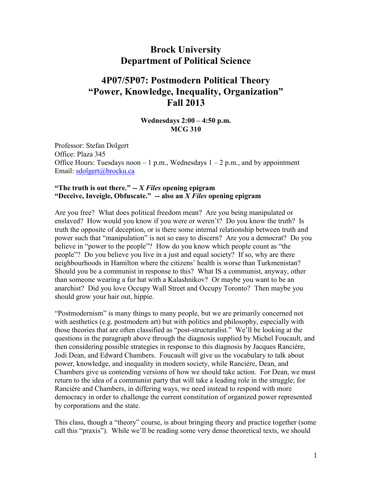# **Brock University Department of Political Science**

# **4P07/5P07: Postmodern Political Theory "Power, Knowledge, Inequality, Organization" Fall 2013**

### **Wednesdays 2:00 – 4:50 p.m. MCG 310**

Professor: Stefan Dolgert Office: Plaza 345 Office Hours: Tuesdays noon  $-1$  p.m., Wednesdays  $1 - 2$  p.m., and by appointment Email: [sdolgert@brocku.ca](mailto:sdolgert@brocku.ca)

### **"The truth is out there." --** *X Files* **opening epigram "Deceive, Inveigle, Obfuscate." -- also an** *X Files* **opening epigram**

Are you free? What does political freedom mean? Are you being manipulated or enslaved? How would you know if you were or weren't? Do you know the truth? Is truth the opposite of deception, or is there some internal relationship between truth and power such that "manipulation" is not so easy to discern? Are you a democrat? Do you believe in "power to the people"? How do you know which people count as "the people"? Do you believe you live in a just and equal society? If so, why are there neighbourhoods in Hamilton where the citizens' health is worse than Turkmenistan? Should you be a communist in response to this? What IS a communist, anyway, other than someone wearing a fur hat with a Kalashnikov? Or maybe you want to be an anarchist? Did you love Occupy Wall Street and Occupy Toronto? Then maybe you should grow your hair out, hippie.

"Postmodernism" is many things to many people, but we are primarily concerned not with aesthetics (e.g. postmodern art) but with politics and philosophy, especially with those theories that are often classified as "post-structuralist." We'll be looking at the questions in the paragraph above through the diagnosis supplied by Michel Foucault, and then considering possible strategies in response to this diagnosis by Jacques Ranciére, Jodi Dean, and Edward Chambers. Foucault will give us the vocabulary to talk about power, knowledge, and inequality in modern society, while Ranciére, Dean, and Chambers give us contending versions of how we should take action. For Dean, we must return to the idea of a communist party that will take a leading role in the struggle; for Ranciére and Chambers, in differing ways, we need instead to respond with more democracy in order to challenge the current constitution of organized power represented by corporations and the state.

This class, though a "theory" course, is about bringing theory and practice together (some call this "praxis"). While we'll be reading some very dense theoretical texts, we should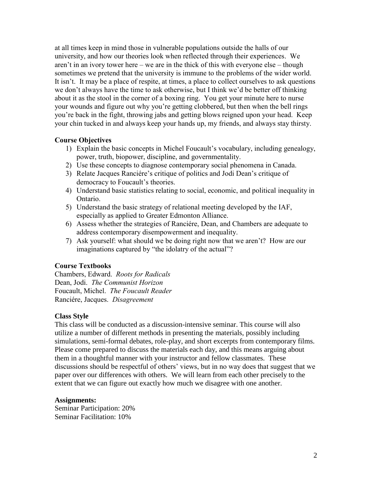at all times keep in mind those in vulnerable populations outside the halls of our university, and how our theories look when reflected through their experiences. We aren't in an ivory tower here – we are in the thick of this with everyone else – though sometimes we pretend that the university is immune to the problems of the wider world. It isn't. It may be a place of respite, at times, a place to collect ourselves to ask questions we don't always have the time to ask otherwise, but I think we'd be better off thinking about it as the stool in the corner of a boxing ring. You get your minute here to nurse your wounds and figure out why you're getting clobbered, but then when the bell rings you're back in the fight, throwing jabs and getting blows reigned upon your head. Keep your chin tucked in and always keep your hands up, my friends, and always stay thirsty.

### **Course Objectives**

- 1) Explain the basic concepts in Michel Foucault's vocabulary, including genealogy, power, truth, biopower, discipline, and governmentality.
- 2) Use these concepts to diagnose contemporary social phenomena in Canada.
- 3) Relate Jacques Ranciére's critique of politics and Jodi Dean's critique of democracy to Foucault's theories.
- 4) Understand basic statistics relating to social, economic, and political inequality in Ontario.
- 5) Understand the basic strategy of relational meeting developed by the IAF, especially as applied to Greater Edmonton Alliance.
- 6) Assess whether the strategies of Ranciére, Dean, and Chambers are adequate to address contemporary disempowerment and inequality.
- 7) Ask yourself: what should we be doing right now that we aren't? How are our imaginations captured by "the idolatry of the actual"?

# **Course Textbooks**

Chambers, Edward. *Roots for Radicals* Dean, Jodi. *The Communist Horizon* Foucault, Michel. *The Foucault Reader* Ranciére, Jacques. *Disagreement*

### **Class Style**

This class will be conducted as a discussion-intensive seminar. This course will also utilize a number of different methods in presenting the materials, possibly including simulations, semi-formal debates, role-play, and short excerpts from contemporary films. Please come prepared to discuss the materials each day, and this means arguing about them in a thoughtful manner with your instructor and fellow classmates. These discussions should be respectful of others' views, but in no way does that suggest that we paper over our differences with others. We will learn from each other precisely to the extent that we can figure out exactly how much we disagree with one another.

# **Assignments:**

Seminar Participation: 20% Seminar Facilitation: 10%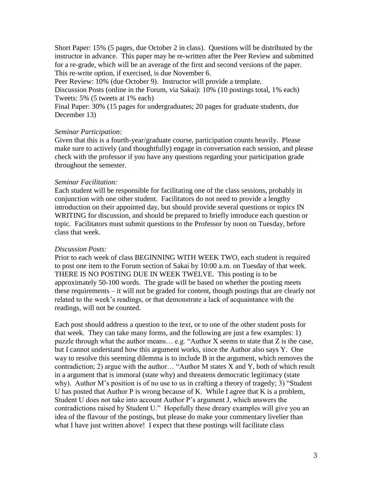Short Paper: 15% (5 pages, due October 2 in class). Questions will be distributed by the instructor in advance. This paper may be re-written after the Peer Review and submitted for a re-grade, which will be an average of the first and second versions of the paper. This re-write option, if exercised, is due November 6.

Peer Review: 10% (due October 9). Instructor will provide a template.

Discussion Posts (online in the Forum, via Sakai): 10% (10 postings total, 1% each) Tweets: 5% (5 tweets at 1% each)

Final Paper: 30% (15 pages for undergraduates; 20 pages for graduate students, due December 13)

### *Seminar Participation:*

Given that this is a fourth-year/graduate course, participation counts heavily. Please make sure to actively (and thoughtfully) engage in conversation each session, and please check with the professor if you have any questions regarding your participation grade throughout the semester.

### *Seminar Facilitation:*

Each student will be responsible for facilitating one of the class sessions, probably in conjunction with one other student. Facilitators do not need to provide a lengthy introduction on their appointed day, but should provide several questions or topics IN WRITING for discussion, and should be prepared to briefly introduce each question or topic. Facilitators must submit questions to the Professor by noon on Tuesday, before class that week.

### *Discussion Posts:*

Prior to each week of class BEGINNING WITH WEEK TWO, each student is required to post one item to the Forum section of Sakai by 10:00 a.m. on Tuesday of that week. THERE IS NO POSTING DUE IN WEEK TWELVE. This posting is to be approximately 50-100 words. The grade will be based on whether the posting meets these requirements – it will not be graded for content, though postings that are clearly not related to the week's readings, or that demonstrate a lack of acquaintance with the readings, will not be counted.

Each post should address a question to the text, or to one of the other student posts for that week. They can take many forms, and the following are just a few examples: 1) puzzle through what the author means… e.g. "Author X seems to state that Z is the case, but I cannot understand how this argument works, since the Author also says Y. One way to resolve this seeming dilemma is to include B in the argument, which removes the contradiction; 2) argue with the author… "Author M states X and Y, both of which result in a argument that is immoral (state why) and threatens democratic legitimacy (state why). Author M's position is of no use to us in crafting a theory of tragedy; 3) "Student U has posted that Author P is wrong because of K. While I agree that K is a problem, Student U does not take into account Author P's argument J, which answers the contradictions raised by Student U." Hopefully these dreary examples will give you an idea of the flavour of the postings, but please do make your commentary livelier than what I have just written above! I expect that these postings will facilitate class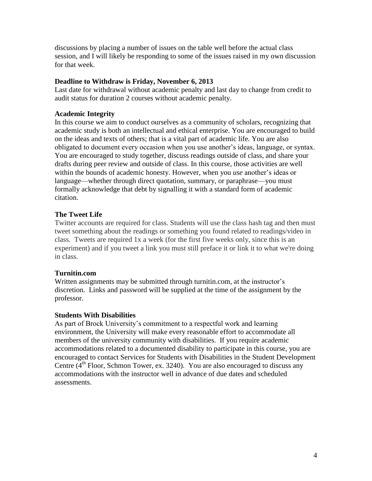discussions by placing a number of issues on the table well before the actual class session, and I will likely be responding to some of the issues raised in my own discussion for that week.

## **Deadline to Withdraw is Friday, November 6, 2013**

Last date for withdrawal without academic penalty and last day to change from credit to audit status for duration 2 courses without academic penalty.

# **Academic Integrity**

In this course we aim to conduct ourselves as a community of scholars, recognizing that academic study is both an intellectual and ethical enterprise. You are encouraged to build on the ideas and texts of others; that is a vital part of academic life. You are also obligated to document every occasion when you use another's ideas, language, or syntax. You are encouraged to study together, discuss readings outside of class, and share your drafts during peer review and outside of class. In this course, those activities are well within the bounds of academic honesty. However, when you *use* another's ideas or language—whether through direct quotation, summary, or paraphrase—you must formally acknowledge that debt by signalling it with a standard form of academic citation.

# **The Tweet Life**

Twitter accounts are required for class. Students will use the class hash tag and then must tweet something about the readings or something you found related to readings/video in class. Tweets are required 1x a week (for the first five weeks only, since this is an experiment) and if you tweet a link you must still preface it or link it to what we're doing in class.

# **Turnitin.com**

Written assignments may be submitted through turnitin.com, at the instructor's discretion. Links and password will be supplied at the time of the assignment by the professor.

# **Students With Disabilities**

As part of Brock University's commitment to a respectful work and learning environment, the University will make every reasonable effort to accommodate all members of the university community with disabilities. If you require academic accommodations related to a documented disability to participate in this course, you are encouraged to contact Services for Students with Disabilities in the Student Development Centre  $(4<sup>th</sup>$  Floor, Schmon Tower, ex. 3240). You are also encouraged to discuss any accommodations with the instructor well in advance of due dates and scheduled assessments.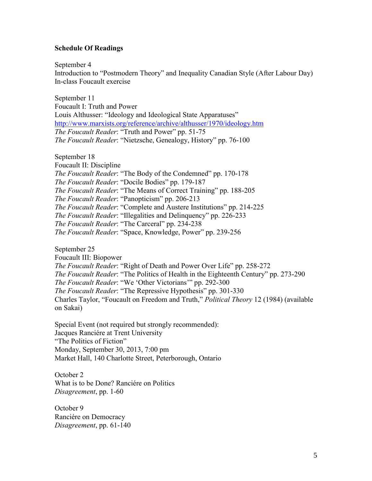### **Schedule Of Readings**

September 4

Introduction to "Postmodern Theory" and Inequality Canadian Style (After Labour Day) In-class Foucault exercise

September 11 Foucault I: Truth and Power Louis Althusser: "Ideology and Ideological State Apparatuses" <http://www.marxists.org/reference/archive/althusser/1970/ideology.htm> *The Foucault Reader*: "Truth and Power" pp. 51-75 *The Foucault Reader*: "Nietzsche, Genealogy, History" pp. 76-100

September 18

Foucault II: Discipline *The Foucault Reader*: "The Body of the Condemned" pp. 170-178 *The Foucault Reader*: "Docile Bodies" pp. 179-187 *The Foucault Reader*: "The Means of Correct Training" pp. 188-205 *The Foucault Reader*: "Panopticism" pp. 206-213 *The Foucault Reader*: "Complete and Austere Institutions" pp. 214-225 *The Foucault Reader*: "Illegalities and Delinquency" pp. 226-233 *The Foucault Reader*: "The Carceral" pp. 234-238 *The Foucault Reader*: "Space, Knowledge, Power" pp. 239-256

September 25

Foucault III: Biopower *The Foucault Reader*: "Right of Death and Power Over Life" pp. 258-272 *The Foucault Reader*: "The Politics of Health in the Eighteenth Century" pp. 273-290 *The Foucault Reader*: "We 'Other Victorians'" pp. 292-300 *The Foucault Reader*: "The Repressive Hypothesis" pp. 301-330 Charles Taylor, "Foucault on Freedom and Truth," *Political Theory* 12 (1984) (available on Sakai)

Special Event (not required but strongly recommended): Jacques Ranciére at Trent University "The Politics of Fiction" Monday, September 30, 2013, 7:00 pm Market Hall, 140 Charlotte Street, Peterborough, Ontario

October 2 What is to be Done? Ranciére on Politics *Disagreement*, pp. 1-60

October 9 Ranciére on Democracy *Disagreement*, pp. 61-140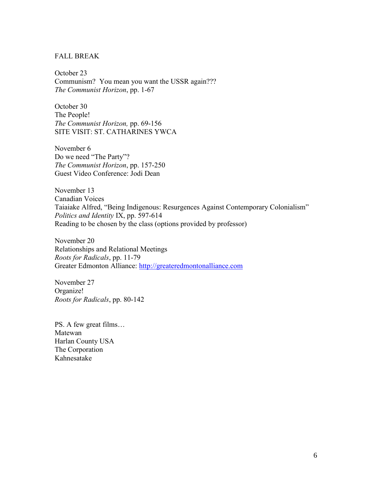### FALL BREAK

October 23 Communism? You mean you want the USSR again??? *The Communist Horizon*, pp. 1-67

October 30 The People! *The Communist Horizon,* pp. 69-156 SITE VISIT: ST. CATHARINES YWCA

November 6 Do we need "The Party"? *The Communist Horizon*, pp. 157-250 Guest Video Conference: Jodi Dean

November 13 Canadian Voices Taiaiake Alfred, "Being Indigenous: Resurgences Against Contemporary Colonialism" *Politics and Identity* IX, pp. 597-614 Reading to be chosen by the class (options provided by professor)

November 20 Relationships and Relational Meetings *Roots for Radicals*, pp. 11-79 Greater Edmonton Alliance: [http://greateredmontonalliance.com](http://greateredmontonalliance.com/)

November 27 Organize! *Roots for Radicals*, pp. 80-142

PS. A few great films… Matewan Harlan County USA The Corporation Kahnesatake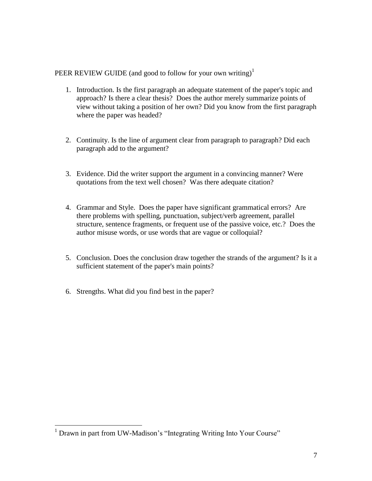PEER REVIEW GUIDE (and good to follow for your own writing)<sup>1</sup>

- 1. Introduction. Is the first paragraph an adequate statement of the paper's topic and approach? Is there a clear thesis? Does the author merely summarize points of view without taking a position of her own? Did you know from the first paragraph where the paper was headed?
- 2. Continuity. Is the line of argument clear from paragraph to paragraph? Did each paragraph add to the argument?
- 3. Evidence. Did the writer support the argument in a convincing manner? Were quotations from the text well chosen? Was there adequate citation?
- 4. Grammar and Style. Does the paper have significant grammatical errors? Are there problems with spelling, punctuation, subject/verb agreement, parallel structure, sentence fragments, or frequent use of the passive voice, etc.? Does the author misuse words, or use words that are vague or colloquial?
- 5. Conclusion. Does the conclusion draw together the strands of the argument? Is it a sufficient statement of the paper's main points?
- 6. Strengths. What did you find best in the paper?

 $\overline{a}$ 

<sup>&</sup>lt;sup>1</sup> Drawn in part from UW-Madison's "Integrating Writing Into Your Course"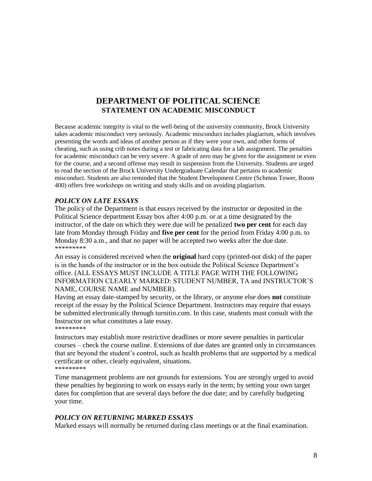# **DEPARTMENT OF POLITICAL SCIENCE STATEMENT ON ACADEMIC MISCONDUCT**

Because academic integrity is vital to the well-being of the university community, Brock University takes academic misconduct very seriously. Academic misconduct includes plagiarism, which involves presenting the words and ideas of another person as if they were your own, and other forms of cheating, such as using crib notes during a test or fabricating data for a lab assignment. The penalties for academic misconduct can be very severe. A grade of zero may be given for the assignment or even for the course, and a second offense may result in suspension from the University. Students are urged to read the section of the Brock University Undergraduate Calendar that pertains to academic misconduct. Students are also reminded that the Student Development Centre (Schmon Tower, Room 400) offers free workshops on writing and study skills and on avoiding plagiarism.

### *POLICY ON LATE ESSAYS*

The policy of the Department is that essays received by the instructor or deposited in the Political Science department Essay box after 4:00 p.m. or at a time designated by the instructor, of the date on which they were due will be penalized **two per cent** for each day late from Monday through Friday and **five per cent** for the period from Friday 4:00 p.m. to Monday 8:30 a.m., and that no paper will be accepted two weeks after the due date. \*\*\*\*\*\*\*\*\*

An essay is considered received when the **original** hard copy (printed-not disk) of the paper is in the hands of the instructor or in the box outside the Political Science Department's office. (ALL ESSAYS MUST INCLUDE A TITLE PAGE WITH THE FOLLOWING INFORMATION CLEARLY MARKED: STUDENT NUMBER, TA and INSTRUCTOR'S NAME, COURSE NAME and NUMBER).

Having an essay date-stamped by security, or the library, or anyone else does **not** constitute receipt of the essay by the Political Science Department. Instructors may require that essays be submitted electronically through turnitin.com. In this case, students must consult with the Instructor on what constitutes a late essay.

\*\*\*\*\*\*\*\*\*

Instructors may establish more restrictive deadlines or more severe penalties in particular courses – check the course outline. Extensions of due dates are granted only in circumstances that are beyond the student's control, such as health problems that are supported by a medical certificate or other, clearly equivalent, situations. \*\*\*\*\*\*\*\*\*

### Time management problems are not grounds for extensions. You are strongly urged to avoid these penalties by beginning to work on essays early in the term; by setting your own target dates for completion that are several days before the due date; and by carefully budgeting your time.

### *POLICY ON RETURNING MARKED ESSAYS*

Marked essays will normally be returned during class meetings or at the final examination.